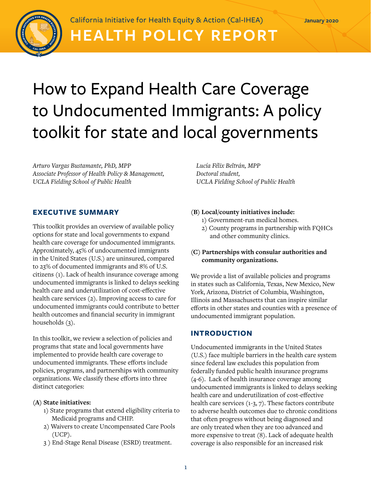

California Initiative for Health Equity & Action (Cal-IHEA)

## **HEALTH POLICY REPORT**

# How to Expand Health Care Coverage to Undocumented Immigrants: A policy toolkit for state and local governments

*Arturo Vargas Bustamante, PhD, MPP Associate Professor of Health Policy & Management, UCLA Fielding School of Public Health*

#### **EXECUTIVE SUMMARY**

This toolkit provides an overview of available policy options for state and local governments to expand health care coverage for undocumented immigrants. Approximately, 45% of undocumented immigrants in the United States (U.S.) are uninsured, compared to 23% of documented immigrants and 8% of U.S. citizens (1). Lack of health insurance coverage among undocumented immigrants is linked to delays seeking health care and underutilization of cost-effective health care services (2). Improving access to care for undocumented immigrants could contribute to better health outcomes and financial security in immigrant households (3).

In this toolkit, we review a selection of policies and programs that state and local governments have implemented to provide health care coverage to undocumented immigrants. These efforts include policies, programs, and partnerships with community organizations. We classify these efforts into three distinct categories:

#### **(A) State initiatives:**

- 1) State programs that extend eligibility criteria to Medicaid programs and CHIP.
- 2) Waivers to create Uncompensated Care Pools (UCP).
- 3 ) End-Stage Renal Disease (ESRD) treatment.

*Lucía Félix Beltrán, MPP Doctoral student, UCLA Fielding School of Public Health*

#### **(B) Local/county initiatives include:**

- 1) Government-run medical homes.
- 2) County programs in partnership with FQHCs and other community clinics.

#### **(C) Partnerships with consular authorities and community organizations.**

We provide a list of available policies and programs in states such as California, Texas, New Mexico, New York, Arizona, District of Columbia, Washington, Illinois and Massachusetts that can inspire similar efforts in other states and counties with a presence of undocumented immigrant population.

#### **INTRODUCTION**

Undocumented immigrants in the United States (U.S.) face multiple barriers in the health care system since federal law excludes this population from federally funded public health insurance programs (4-6). Lack of health insurance coverage among undocumented immigrants is linked to delays seeking health care and underutilization of cost-effective health care services (1-3, 7). These factors contribute to adverse health outcomes due to chronic conditions that often progress without being diagnosed and are only treated when they are too advanced and more expensive to treat (8). Lack of adequate health coverage is also responsible for an increased risk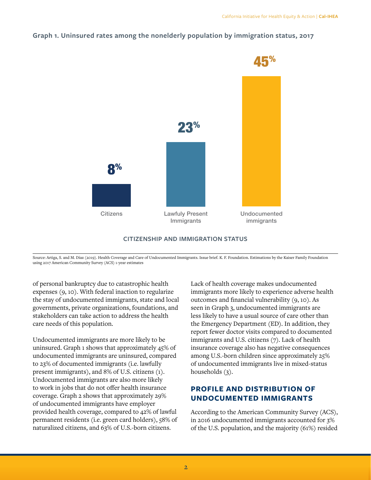## **Graph 1. Uninsured rates among the nonelderly population by immigration status, 2017**



#### **CITIZENSHIP AND IMMIGRATION STATUS**

Source: Artiga, S. and M. Díaz (2019). Health Coverage and Care of Undocumented Immigrants. Issue brief. K. F. Foundation. Estimations by the Kaiser Family Foundation using 2017 American Community Survey (ACS) 1-year estimates

of personal bankruptcy due to catastrophic health expenses (9, 10). With federal inaction to regularize the stay of undocumented immigrants, state and local governments, private organizations, foundations, and stakeholders can take action to address the health care needs of this population.

Undocumented immigrants are more likely to be uninsured. Graph 1 shows that approximately 45% of undocumented immigrants are uninsured, compared to 23% of documented immigrants (i.e. lawfully present immigrants), and 8% of U.S. citizens (1). Undocumented immigrants are also more likely to work in jobs that do not offer health insurance coverage. Graph 2 shows that approximately 29% of undocumented immigrants have employer provided health coverage, compared to 42% of lawful permanent residents (i.e. green card holders), 58% of naturalized citizens, and 63% of U.S.-born citizens.

Lack of health coverage makes undocumented immigrants more likely to experience adverse health outcomes and financial vulnerability (9, 10). As seen in Graph 3, undocumented immigrants are less likely to have a usual source of care other than the Emergency Department (ED). In addition, they report fewer doctor visits compared to documented immigrants and U.S. citizens (7). Lack of health insurance coverage also has negative consequences among U.S.-born children since approximately 25% of undocumented immigrants live in mixed-status households (3).

## **PROFILE AND DISTRIBUTION OF UNDOCUMENTED IMMIGRANTS**

According to the American Community Survey (ACS), in 2016 undocumented immigrants accounted for 3% of the U.S. population, and the majority (61%) resided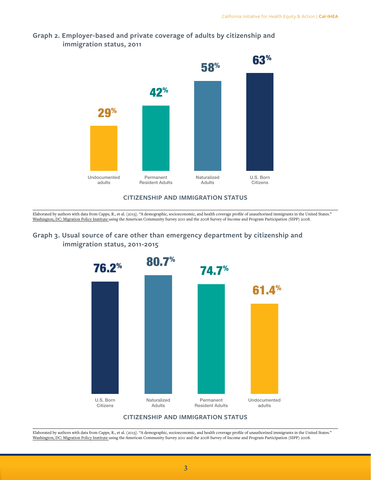

## **Graph 2. Employer-based and private coverage of adults by citizenship and immigration status, 2011**

#### **CITIZENSHIP AND IMMIGRATION STATUS**

Elaborated by authors with data from Capps, R., et al. (2013). "A demographic, socioeconomic, and health coverage profile of unauthorized immigrants in the United States." Washington, DC: Migration Policy Institute using the American Community Survey 2011 and the 2008 Survey of Income and Program Participation (SIPP) 2008.

## **Graph 3. Usual source of care other than emergency department by citizenship and immigration status, 2011-2015**



Elaborated by authors with data from Capps, R., et al. (2013). "A demographic, socioeconomic, and health coverage profile of unauthorized immigrants in the United States." Washington, DC: Migration Policy Institute using the American Community Survey 2011 and the 2008 Survey of Income and Program Participation (SIPP) 2008.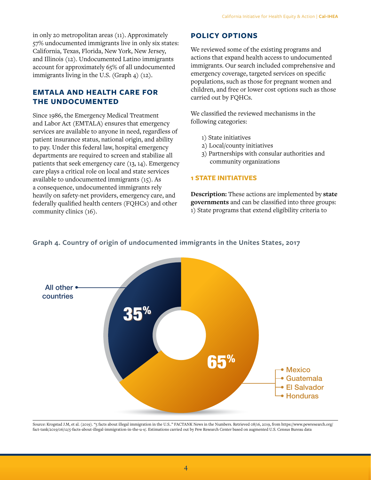in only 20 metropolitan areas (11). Approximately 57% undocumented immigrants live in only six states: California, Texas, Florida, New York, New Jersey, and Illinois (12). Undocumented Latino immigrants account for approximately 65% of all undocumented immigrants living in the U.S. (Graph 4) (12).

## **EMTALA AND HEALTH CARE FOR THE UNDOCUMENTED**

Since 1986, the Emergency Medical Treatment and Labor Act (EMTALA) ensures that emergency services are available to anyone in need, regardless of patient insurance status, national origin, and ability to pay. Under this federal law, hospital emergency departments are required to screen and stabilize all patients that seek emergency care (13, 14). Emergency care plays a critical role on local and state services available to undocumented immigrants (15). As a consequence, undocumented immigrants rely heavily on safety-net providers, emergency care, and federally qualified health centers (FQHCs) and other community clinics (16).

## **POLICY OPTIONS**

We reviewed some of the existing programs and actions that expand health access to undocumented immigrants. Our search included comprehensive and emergency coverage, targeted services on specific populations, such as those for pregnant women and children, and free or lower cost options such as those carried out by FQHCs.

We classified the reviewed mechanisms in the following categories:

- 1) State initiatives
- 2) Local/county initiatives
- 3) Partnerships with consular authorities and community organizations

#### **1 STATE INITIATIVES**

**Description:** These actions are implemented by **state governments** and can be classified into three groups: 1) State programs that extend eligibility criteria to



#### **Graph 4. Country of origin of undocumented immigrants in the Unites States, 2017**

Source: Krogstad J.M, et al. (2019). "5 facts about illegal immigration in the U.S.." FACTANK News in the Numbers. Retrieved 08/16, 2019, from [https://www.pewresearch.org/](https://www.pewresearch.org/fact-tank/2019/06/12/5-facts-about-illegal-immigration-in-the-u-s/) [fact-tank/2019/06/12/5-facts-about-illegal-immigration-in-the-u-s/](https://www.pewresearch.org/fact-tank/2019/06/12/5-facts-about-illegal-immigration-in-the-u-s/). Estimations carried out by Pew Research Center based on augmented U.S. Census Bureau data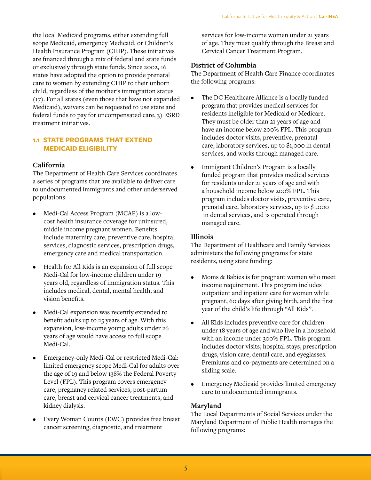the local Medicaid programs, either extending full scope Medicaid, emergency Medicaid, or Children's Health Insurance Program (CHIP). These initiatives are financed through a mix of federal and state funds or exclusively through state funds. Since 2002, 16 states have adopted the option to provide prenatal care to women by extending CHIP to their unborn child, regardless of the mother's immigration status (17). For all states (even those that have not expanded Medicaid), waivers can be requested to use state and federal funds to pay for uncompensated care, 3) ESRD treatment initiatives.

## **1.1 STATE PROGRAMS THAT EXTEND MEDICAID ELIGIBILITY**

#### **California**

The Department of Health Care Services coordinates a series of programs that are available to deliver care to undocumented immigrants and other underserved populations:

- Medi-Cal Access Program (MCAP) is a lowcost health insurance coverage for uninsured, middle income pregnant women. Benefits include maternity care, preventive care, hospital services, diagnostic services, prescription drugs, emergency care and medical transportation.
- Health for All Kids is an expansion of full scope Medi-Cal for low-income children under 19 years old, regardless of immigration status. This includes medical, dental, mental health, and vision benefits.
- Medi-Cal expansion was recently extended to benefit adults up to 25 years of age. With this expansion, low-income young adults under 26 years of age would have access to full scope Medi-Cal.
- Emergency-only Medi-Cal or restricted Medi-Cal: limited emergency scope Medi-Cal for adults over the age of 19 and below 138% the Federal Poverty Level (FPL). This program covers emergency care, pregnancy related services, post-partum care, breast and cervical cancer treatments, and kidney dialysis.
- Every Woman Counts (EWC) provides free breast cancer screening, diagnostic, and treatment

services for low-income women under 21 years of age. They must qualify through the Breast and Cervical Cancer Treatment Program.

#### **District of Columbia**

The Department of Health Care Finance coordinates the following programs:

- The DC Healthcare Alliance is a locally funded program that provides medical services for residents ineligible for Medicaid or Medicare. They must be older than 21 years of age and have an income below 200% FPL. This program includes doctor visits, preventive, prenatal care, laboratory services, up to \$1,000 in dental services, and works through managed care.
- Immigrant Children's Program is a locally funded program that provides medical services for residents under 21 years of age and with a household income below 200% FPL. This program includes doctor visits, preventive care, prenatal care, laboratory services, up to \$1,000 in dental services, and is operated through managed care.

#### **Illinois**

The Department of Healthcare and Family Services administers the following programs for state residents, using state funding:

- Moms & Babies is for pregnant women who meet income requirement. This program includes outpatient and inpatient care for women while pregnant, 60 days after giving birth, and the first year of the child's life through "All Kids".
- All Kids includes preventive care for children under 18 years of age and who live in a household with an income under 300% FPL. This program includes doctor visits, hospital stays, prescription drugs, vision care, dental care, and eyeglasses. Premiums and co-payments are determined on a sliding scale.
- Emergency Medicaid provides limited emergency care to undocumented immigrants.

#### **Maryland**

The Local Departments of Social Services under the Maryland Department of Public Health manages the following programs: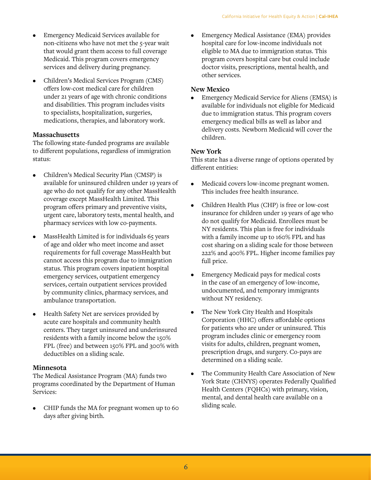- Emergency Medicaid Services available for non-citizens who have not met the 5-year wait that would grant them access to full coverage Medicaid. This program covers emergency services and delivery during pregnancy.
- Children's Medical Services Program (CMS) offers low-cost medical care for children under 21 years of age with chronic conditions and disabilities. This program includes visits to specialists, hospitalization, surgeries, medications, therapies, and laboratory work.

## **Massachusetts**

The following state-funded programs are available to different populations, regardless of immigration status:

- Children's Medical Security Plan (CMSP) is available for uninsured children under 19 years of age who do not qualify for any other MassHealth coverage except MassHealth Limited. This program offers primary and preventive visits, urgent care, laboratory tests, mental health, and pharmacy services with low co-payments.
- MassHealth Limited is for individuals 65 years of age and older who meet income and asset requirements for full coverage MassHealth but cannot access this program due to immigration status. This program covers inpatient hospital emergency services, outpatient emergency services, certain outpatient services provided by community clinics, pharmacy services, and ambulance transportation.
- Health Safety Net are services provided by acute care hospitals and community health centers. They target uninsured and underinsured residents with a family income below the 150% FPL (free) and between 150% FPL and 300% with deductibles on a sliding scale.

#### **Minnesota**

The Medical Assistance Program (MA) funds two programs coordinated by the Department of Human Services:

• CHIP funds the MA for pregnant women up to 60 days after giving birth.

• Emergency Medical Assistance (EMA) provides hospital care for low-income individuals not eligible to MA due to immigration status. This program covers hospital care but could include doctor visits, prescriptions, mental health, and other services.

## **New Mexico**

• Emergency Medicaid Service for Aliens (EMSA) is available for individuals not eligible for Medicaid due to immigration status. This program covers emergency medical bills as well as labor and delivery costs. Newborn Medicaid will cover the children.

## **New York**

This state has a diverse range of options operated by different entities:

- Medicaid covers low-income pregnant women. This includes free health insurance.
- Children Health Plus (CHP) is free or low-cost insurance for children under 19 years of age who do not qualify for Medicaid. Enrollees must be NY residents. This plan is free for individuals with a family income up to 160% FPL and has cost sharing on a sliding scale for those between 222% and 400% FPL. Higher income families pay full price.
- Emergency Medicaid pays for medical costs in the case of an emergency of low-income, undocumented, and temporary immigrants without NY residency.
- The New York City Health and Hospitals Corporation (HHC) offers affordable options for patients who are under or uninsured. This program includes clinic or emergency room visits for adults, children, pregnant women, prescription drugs, and surgery. Co-pays are determined on a sliding scale.
- The Community Health Care Association of New York State (CHNYS) operates Federally Qualified Health Centers (FQHCs) with primary, vision, mental, and dental health care available on a sliding scale.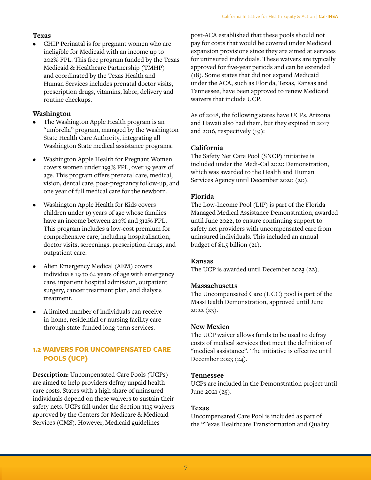## **Texas**

• CHIP Perinatal is for pregnant women who are ineligible for Medicaid with an income up to 202% FPL. This free program funded by the Texas Medicaid & Healthcare Partnership (TMHP) and coordinated by the Texas Health and Human Services includes prenatal doctor visits, prescription drugs, vitamins, labor, delivery and routine checkups.

## **Washington**

- The Washington Apple Health program is an "umbrella" program, managed by the Washington State Health Care Authority, integrating all Washington State medical assistance programs.
- Washington Apple Health for Pregnant Women covers women under 193% FPL, over 19 years of age. This program offers prenatal care, medical, vision, dental care, post-pregnancy follow-up, and one year of full medical care for the newborn.
- Washington Apple Health for Kids covers children under 19 years of age whose families have an income between 210% and 312% FPL. This program includes a low-cost premium for comprehensive care, including hospitalization, doctor visits, screenings, prescription drugs, and outpatient care.
- Alien Emergency Medical (AEM) covers individuals 19 to 64 years of age with emergency care, inpatient hospital admission, outpatient surgery, cancer treatment plan, and dialysis treatment.
- A limited number of individuals can receive in-home, residential or nursing facility care through state-funded long-term services.

## **1.2 WAIVERS FOR UNCOMPENSATED CARE POOLS (UCP)**

**Description:** Uncompensated Care Pools (UCPs) are aimed to help providers defray unpaid health care costs. States with a high share of uninsured individuals depend on these waivers to sustain their safety nets. UCPs fall under the Section 1115 waivers approved by the Centers for Medicare & Medicaid Services (CMS). However, Medicaid guidelines

post-ACA established that these pools should not pay for costs that would be covered under Medicaid expansion provisions since they are aimed at services for uninsured individuals. These waivers are typically approved for five-year periods and can be extended (18). Some states that did not expand Medicaid under the ACA, such as Florida, Texas, Kansas and Tennessee, have been approved to renew Medicaid waivers that include UCP.

As of 2018, the following states have UCPs. Arizona and Hawaii also had them, but they expired in 2017 and 2016, respectively (19):

## **California**

The Safety Net Care Pool (SNCP) initiative is included under the Medi-Cal 2020 Demonstration, which was awarded to the Health and Human Services Agency until December 2020 (20).

## **Florida**

The Low-Income Pool (LIP) is part of the Florida Managed Medical Assistance Demonstration, awarded until June 2022, to ensure continuing support to safety net providers with uncompensated care from uninsured individuals. This included an annual budget of \$1.5 billion (21).

## **Kansas**

The UCP is awarded until December 2023 (22).

## **Massachusetts**

The Uncompensated Care (UCC) pool is part of the MassHealth Demonstration, approved until June 2022 (23).

## **New Mexico**

The UCP waiver allows funds to be used to defray costs of medical services that meet the definition of "medical assistance". The initiative is effective until December 2023 (24).

## **Tennessee**

UCPs are included in the Demonstration project until June 2021 (25).

## **Texas**

Uncompensated Care Pool is included as part of the "Texas Healthcare Transformation and Quality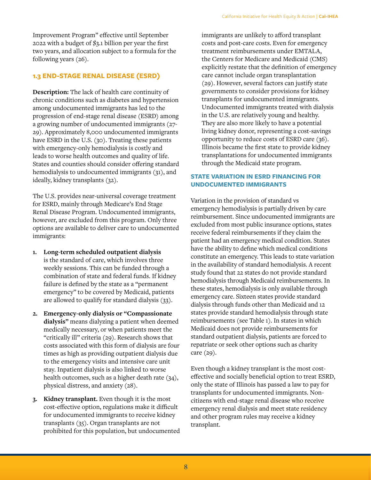Improvement Program" effective until September 2022 with a budget of \$3.1 billion per year the first two years, and allocation subject to a formula for the following years (26).

## **1.3 END-STAGE RENAL DISEASE (ESRD)**

**Description:** The lack of health care continuity of chronic conditions such as diabetes and hypertension among undocumented immigrants has led to the progression of end-stage renal disease (ESRD) among a growing number of undocumented immigrants (27- 29). Approximately 8,000 undocumented immigrants have ESRD in the U.S. (30). Treating these patients with emergency-only hemodialysis is costly and leads to worse health outcomes and quality of life. States and counties should consider offering standard hemodialysis to undocumented immigrants (31), and ideally, kidney transplants (32).

The U.S. provides near-universal coverage treatment for ESRD, mainly through Medicare's End Stage Renal Disease Program. Undocumented immigrants, however, are excluded from this program. Only three options are available to deliver care to undocumented immigrants:

- **1. Long-term scheduled outpatient dialysis** is the standard of care, which involves three weekly sessions. This can be funded through a combination of state and federal funds. If kidney failure is defined by the state as a "permanent emergency" to be covered by Medicaid, patients are allowed to qualify for standard dialysis (33).
- **2. Emergency-only dialysis or "Compassionate dialysis"** means dialyzing a patient when deemed medically necessary, or when patients meet the "critically ill" criteria (29). Research shows that costs associated with this form of dialysis are four times as high as providing outpatient dialysis due to the emergency visits and intensive care unit stay. Inpatient dialysis is also linked to worse health outcomes, such as a higher death rate (34), physical distress, and anxiety (28).
- **3. Kidney transplant.** Even though it is the most cost-effective option, regulations make it difficult for undocumented immigrants to receive kidney transplants (35). Organ transplants are not prohibited for this population, but undocumented

immigrants are unlikely to afford transplant costs and post-care costs. Even for emergency treatment reimbursements under EMTALA, the Centers for Medicare and Medicaid (CMS) explicitly restate that the definition of emergency care cannot include organ transplantation (29). However, several factors can justify state governments to consider provisions for kidney transplants for undocumented immigrants. Undocumented immigrants treated with dialysis in the U.S. are relatively young and healthy. They are also more likely to have a potential living kidney donor, representing a cost-savings opportunity to reduce costs of ESRD care (36). Illinois became the first state to provide kidney transplantations for undocumented immigrants through the Medicaid state program.

## **STATE VARIATION IN ESRD FINANCING FOR UNDOCUMENTED IMMIGRANTS**

Variation in the provision of standard vs emergency hemodialysis is partially driven by care reimbursement. Since undocumented immigrants are excluded from most public insurance options, states receive federal reimbursements if they claim the patient had an emergency medical condition. States have the ability to define which medical conditions constitute an emergency. This leads to state variation in the availability of standard hemodialysis. A recent study found that 22 states do not provide standard hemodialysis through Medicaid reimbursements. In these states, hemodialysis is only available through emergency care. Sixteen states provide standard dialysis through funds other than Medicaid and 12 states provide standard hemodialysis through state reimbursements (see Table 1). In states in which Medicaid does not provide reimbursements for standard outpatient dialysis, patients are forced to repatriate or seek other options such as charity care (29).

Even though a kidney transplant is the most costeffective and socially beneficial option to treat ESRD, only the state of Illinois has passed a law to pay for transplants for undocumented immigrants. Noncitizens with end-stage renal disease who receive emergency renal dialysis and meet state residency and other program rules may receive a kidney transplant.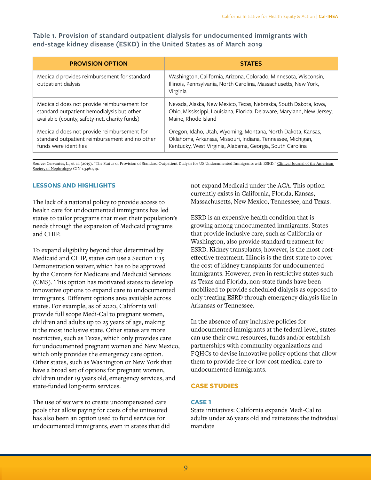**Table 1. Provision of standard outpatient dialysis for undocumented immigrants with end-stage kidney disease (ESKD) in the United States as of March 2019**

| <b>PROVISION OPTION</b>                                             | <b>STATES</b>                                                                                                                                    |
|---------------------------------------------------------------------|--------------------------------------------------------------------------------------------------------------------------------------------------|
| Medicaid provides reimbursement for standard<br>outpatient dialysis | Washington, California, Arizona, Colorado, Minnesota, Wisconsin,<br>Illinois, Pennsylvania, North Carolina, Massachusetts, New York,<br>Virginia |
| Medicaid does not provide reimbursement for                         | Nevada, Alaska, New Mexico, Texas, Nebraska, South Dakota, Iowa,                                                                                 |
| standard outpatient hemodialysis but other                          | Ohio, Mississippi, Louisiana, Florida, Delaware, Maryland, New Jersey,                                                                           |
| available (county, safety-net, charity funds)                       | Maine, Rhode Island                                                                                                                              |
| Medicaid does not provide reimbursement for                         | Oregon, Idaho, Utah, Wyoming, Montana, North Dakota, Kansas,                                                                                     |
| standard outpatient reimbursement and no other                      | Oklahoma, Arkansas, Missouri, Indiana, Tennessee, Michigan,                                                                                      |
| funds were identifies                                               | Kentucky, West Virginia, Alabama, Georgia, South Carolina                                                                                        |

Source: Cervantes, L., et al. (2019). "The Status of Provision of Standard Outpatient Dialysis for US Undocumented Immigrants with ESKD." Clinical Journal of the American Society of Nephrology: CJN-03460319.

#### **LESSONS AND HIGHLIGHTS**

The lack of a national policy to provide access to health care for undocumented immigrants has led states to tailor programs that meet their population's needs through the expansion of Medicaid programs and CHIP.

To expand eligibility beyond that determined by Medicaid and CHIP, states can use a Section 1115 Demonstration waiver, which has to be approved by the Centers for Medicare and Medicaid Services (CMS). This option has motivated states to develop innovative options to expand care to undocumented immigrants. Different options area available across states. For example, as of 2020, California will provide full scope Medi-Cal to pregnant women, children and adults up to 25 years of age, making it the most inclusive state. Other states are more restrictive, such as Texas, which only provides care for undocumented pregnant women and New Mexico, which only provides the emergency care option. Other states, such as Washington or New York that have a broad set of options for pregnant women, children under 19 years old, emergency services, and state-funded long-term services.

The use of waivers to create uncompensated care pools that allow paying for costs of the uninsured has also been an option used to fund services for undocumented immigrants, even in states that did not expand Medicaid under the ACA. This option currently exists in California, Florida, Kansas, Massachusetts, New Mexico, Tennessee, and Texas.

ESRD is an expensive health condition that is growing among undocumented immigrants. States that provide inclusive care, such as California or Washington, also provide standard treatment for ESRD. Kidney transplants, however, is the most costeffective treatment. Illinois is the first state to cover the cost of kidney transplants for undocumented immigrants. However, even in restrictive states such as Texas and Florida, non-state funds have been mobilized to provide scheduled dialysis as opposed to only treating ESRD through emergency dialysis like in Arkansas or Tennessee.

In the absence of any inclusive policies for undocumented immigrants at the federal level, states can use their own resources, funds and/or establish partnerships with community organizations and FQHCs to devise innovative policy options that allow them to provide free or low-cost medical care to undocumented immigrants.

#### **CASE STUDIES**

#### **CASE 1**

State initiatives: California expands Medi-Cal to adults under 26 years old and reinstates the individual mandate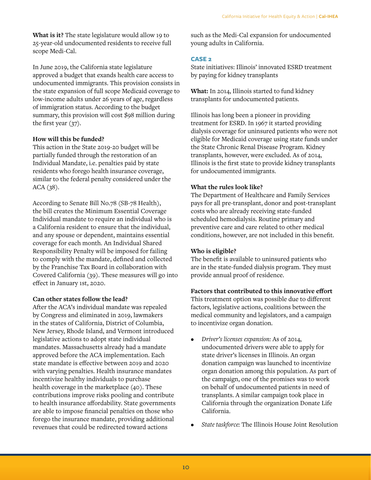**What is it?** The state legislature would allow 19 to 25-year-old undocumented residents to receive full scope Medi-Cal.

In June 2019, the California state legislature approved a budget that exands health care access to undocumented immigrants. This provision consists in the state expansion of full scope Medicaid coverage to low-income adults under 26 years of age, regardless of immigration status. According to the budget summary, this provision will cost \$98 million during the first year (37).

#### **How will this be funded?**

This action in the State 2019-20 budget will be partially funded through the restoration of an Individual Mandate, i.e. penalties paid by state residents who forego health insurance coverage, similar to the federal penalty considered under the ACA (38).

According to Senate Bill No.78 (SB-78 Health), the bill creates the Minimum Essential Coverage Individual mandate to require an individual who is a California resident to ensure that the individual, and any spouse or dependent, maintains essential coverage for each month. An Individual Shared Responsibility Penalty will be imposed for failing to comply with the mandate, defined and collected by the Franchise Tax Board in collaboration with Covered California (39). These measures will go into effect in January 1st, 2020.

#### **Can other states follow the lead?**

After the ACA's individual mandate was repealed by Congress and eliminated in 2019, lawmakers in the states of California, District of Columbia, New Jersey, Rhode Island, and Vermont introduced legislative actions to adopt state individual mandates. Massachusetts already had a mandate approved before the ACA implementation. Each state mandate is effective between 2019 and 2020 with varying penalties. Health insurance mandates incentivize healthy individuals to purchase health coverage in the marketplace (40). These contributions improve risks pooling and contribute to health insurance affordability. State governments are able to impose financial penalties on those who forego the insurance mandate, providing additional revenues that could be redirected toward actions

such as the Medi-Cal expansion for undocumented young adults in California.

#### **CASE 2**

State initiatives: Illinois' innovated ESRD treatment by paying for kidney transplants

**What:** In 2014, Illinois started to fund kidney transplants for undocumented patients.

Illinois has long been a pioneer in providing treatment for ESRD. In 1967 it started providing dialysis coverage for uninsured patients who were not eligible for Medicaid coverage using state funds under the State Chronic Renal Disease Program. Kidney transplants, however, were excluded. As of 2014, Illinois is the first state to provide kidney transplants for undocumented immigrants.

#### **What the rules look like?**

The Department of Healthcare and Family Services pays for all pre-transplant, donor and post-transplant costs who are already receiving state-funded scheduled hemodialysis. Routine primary and preventive care and care related to other medical conditions, however, are not included in this benefit.

#### **Who is eligible?**

The benefit is available to uninsured patients who are in the state-funded dialysis program. They must provide annual proof of residence.

#### **Factors that contributed to this innovative effort**

This treatment option was possible due to different factors, legislative actions, coalitions between the medical community and legislators, and a campaign to incentivize organ donation.

- *• Driver's licenses expansion:* As of 2014, undocumented drivers were able to apply for state driver's licenses in Illinois. An organ donation campaign was launched to incentivize organ donation among this population. As part of the campaign, one of the promises was to work on behalf of undocumented patients in need of transplants. A similar campaign took place in California through the organization Donate Life California.
- *• State taskforce:* The Illinois House Joint Resolution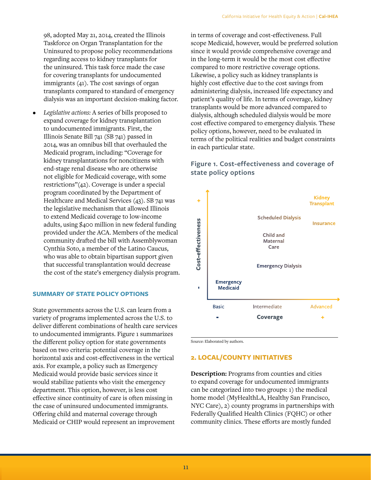98, adopted May 21, 2014, created the Illinois Taskforce on Organ Transplantation for the Uninsured to propose policy recommendations regarding access to kidney transplants for the uninsured. This task force made the case for covering transplants for undocumented immigrants (41). The cost savings of organ transplants compared to standard of emergency dialysis was an important decision-making factor.

*• Legislative actions:* A series of bills proposed to expand coverage for kidney transplantation to undocumented immigrants. First, the Illinois Senate Bill 741 (SB 741) passed in 2014, was an omnibus bill that overhauled the Medicaid program, including: "Coverage for kidney transplantations for noncitizens with end-stage renal disease who are otherwise not eligible for Medicaid coverage, with some restrictions"(42). Coverage is under a special program coordinated by the Department of Healthcare and Medical Services (43). SB 741 was the legislative mechanism that allowed Illinois to extend Medicaid coverage to low-income adults, using \$400 million in new federal funding provided under the ACA. Members of the medical community drafted the bill with Assemblywoman Cynthia Soto, a member of the Latino Caucus, who was able to obtain bipartisan support given that successful transplantation would decrease the cost of the state's emergency dialysis program.

#### **SUMMARY OF STATE POLICY OPTIONS**

State governments across the U.S. can learn from a variety of programs implemented across the U.S. to deliver different combinations of health care services to undocumented immigrants. Figure 1 summarizes the different policy option for state governments based on two criteria: potential coverage in the horizontal axis and cost-effectiveness in the vertical axis. For example, a policy such as Emergency Medicaid would provide basic services since it would stabilize patients who visit the emergency department. This option, however, is less cost effective since continuity of care is often missing in the case of uninsured undocumented immigrants. Offering child and maternal coverage through Medicaid or CHIP would represent an improvement

in terms of coverage and cost-effectiveness. Full scope Medicaid, however, would be preferred solution since it would provide comprehensive coverage and in the long-term it would be the most cost effective compared to more restrictive coverage options. Likewise, a policy such as kidney transplants is highly cost effective due to the cost savings from administering dialysis, increased life expectancy and patient's quality of life. In terms of coverage, kidney transplants would be more advanced compared to dialysis, although scheduled dialysis would be more cost effective compared to emergency dialysis. These policy options, however, need to be evaluated in terms of the political realities and budget constraints in each particular state.

## **Figure 1. Cost-effectiveness and coverage of state policy options**



Source: Elaborated by authors.

#### **2. LOCAL/COUNTY INITIATIVES**

**Description:** Programs from counties and cities to expand coverage for undocumented immigrants can be categorized into two groups: 1) the medical home model (MyHealthLA, Healthy San Francisco, NYC Care), 2) county programs in partnerships with Federally Qualified Health Clinics (FQHC) or other community clinics. These efforts are mostly funded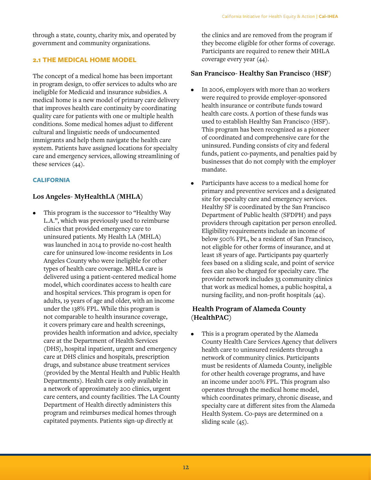through a state, county, charity mix, and operated by government and community organizations.

#### **2.1 THE MEDICAL HOME MODEL**

The concept of a medical home has been important in program design, to offer services to adults who are ineligible for Medicaid and insurance subsidies. A medical home is a new model of primary care delivery that improves health care continuity by coordinating quality care for patients with one or multiple health conditions. Some medical homes adjust to different cultural and linguistic needs of undocumented immigrants and help them navigate the health care system. Patients have assigned locations for specialty care and emergency services, allowing streamlining of these services (44).

#### **CALIFORNIA**

## **Los Angeles- MyHealthLA (MHLA)**

This program is the successor to "Healthy Way L.A.", which was previously used to reimburse clinics that provided emergency care to uninsured patients. My Health LA (MHLA) was launched in 2014 to provide no-cost health care for uninsured low-income residents in Los Angeles County who were ineligible for other types of health care coverage. MHLA care is delivered using a patient-centered medical home model, which coordinates access to health care and hospital services. This program is open for adults, 19 years of age and older, with an income under the 138% FPL. While this program is not comparable to health insurance coverage, it covers primary care and health screenings, provides health information and advice, specialty care at the Department of Health Services (DHS), hospital inpatient, urgent and emergency care at DHS clinics and hospitals, prescription drugs, and substance abuse treatment services (provided by the Mental Health and Public Health Departments). Health care is only available in a network of approximately 200 clinics, urgent care centers, and county facilities. The LA County Department of Health directly administers this program and reimburses medical homes through capitated payments. Patients sign-up directly at

the clinics and are removed from the program if they become eligible for other forms of coverage. Participants are required to renew their MHLA coverage every year (44).

## **San Francisco- Healthy San Francisco (HSF)**

- In 2006, employers with more than 20 workers were required to provide employer-sponsored health insurance or contribute funds toward health care costs. A portion of these funds was used to establish Healthy San Francisco (HSF). This program has been recognized as a pioneer of coordinated and comprehensive care for the uninsured. Funding consists of city and federal funds, patient co-payments, and penalties paid by businesses that do not comply with the employer mandate.
- Participants have access to a medical home for primary and preventive services and a designated site for specialty care and emergency services. Healthy SF is coordinated by the San Francisco Department of Public health (SFDPH) and pays providers through capitation per person enrolled. Eligibility requirements include an income of below 500% FPL, be a resident of San Francisco, not eligible for other forms of insurance, and at least 18 years of age. Participants pay quarterly fees based on a sliding scale, and point of service fees can also be charged for specialty care. The provider network includes 33 community clinics that work as medical homes, a public hospital, a nursing facility, and non-profit hospitals (44).

## **Health Program of Alameda County (HealthPAC)**

• This is a program operated by the Alameda County Health Care Services Agency that delivers health care to uninsured residents through a network of community clinics. Participants must be residents of Alameda County, ineligible for other health coverage programs, and have an income under 200% FPL. This program also operates through the medical home model, which coordinates primary, chronic disease, and specialty care at different sites from the Alameda Health System. Co-pays are determined on a sliding scale (45).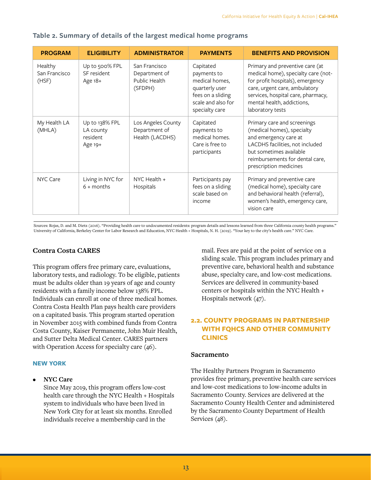| <b>PROGRAM</b>                    | <b>ELIGIBILITY</b>                                 | <b>ADMINISTRATOR</b>                                       | <b>PAYMENTS</b>                                                                                                           | <b>BENEFITS AND PROVISION</b>                                                                                                                                                                                                       |
|-----------------------------------|----------------------------------------------------|------------------------------------------------------------|---------------------------------------------------------------------------------------------------------------------------|-------------------------------------------------------------------------------------------------------------------------------------------------------------------------------------------------------------------------------------|
| Healthy<br>San Francisco<br>(HSF) | Up to 500% FPL<br>SF resident<br>Age 18+           | San Francisco<br>Department of<br>Public Health<br>(SFDPH) | Capitated<br>payments to<br>medical homes,<br>quarterly user<br>fees on a sliding<br>scale and also for<br>specialty care | Primary and preventive care (at<br>medical home), specialty care (not-<br>for profit hospitals), emergency<br>care, urgent care, ambulatory<br>services, hospital care, pharmacy,<br>mental health, addictions,<br>laboratory tests |
| My Health LA<br>(MHLA)            | Up to 138% FPL<br>LA county<br>resident<br>Age 19+ | Los Angeles County<br>Department of<br>Health (LACDHS)     | Capitated<br>payments to<br>medical homes.<br>Care is free to<br>participants                                             | Primary care and screenings<br>(medical homes), specialty<br>and emergency care at<br>LACDHS facilities, not included<br>but sometimes available<br>reimbursements for dental care,<br>prescription medicines                       |
| NYC Care                          | Living in NYC for<br>$6 +$ months                  | NYC Health +<br>Hospitals                                  | Participants pay<br>fees on a sliding<br>scale based on<br>income                                                         | Primary and preventive care<br>(medical home), specialty care<br>and behavioral health (referral),<br>women's health, emergency care,<br>vision care                                                                                |

## **Table 2. Summary of details of the largest medical home programs**

Sources: Rojas, D. and M. Dietz (2016). "Providing health care to undocumented residents: program details and lessons learned from three California county health programs." University of California, Berkeley Center for Labor Research and Education, NYC Health + Hospitals, N. H. (2019). "Your key to the city's health care." NYC Care.

#### **Contra Costa CARES**

This program offers free primary care, evaluations, laboratory tests, and radiology. To be eligible, patients must be adults older than 19 years of age and county residents with a family income below 138% FPL. Individuals can enroll at one of three medical homes. Contra Costa Health Plan pays health care providers on a capitated basis. This program started operation in November 2015 with combined funds from Contra Costa County, Kaiser Permanente, John Muir Health, and Sutter Delta Medical Center. CARES partners with Operation Access for specialty care (46).

#### **NEW YORK**

**• NYC Care**

Since May 2019, this program offers low-cost health care through the NYC Health + Hospitals system to individuals who have been lived in New York City for at least six months. Enrolled individuals receive a membership card in the

mail. Fees are paid at the point of service on a sliding scale. This program includes primary and preventive care, behavioral health and substance abuse, specialty care, and low-cost medications. Services are delivered in community-based centers or hospitals within the NYC Health + Hospitals network (47).

## **2.2. COUNTY PROGRAMS IN PARTNERSHIP WITH FQHCS AND OTHER COMMUNITY CLINICS**

#### **Sacramento**

The Healthy Partners Program in Sacramento provides free primary, preventive health care services and low-cost medications to low-income adults in Sacramento County. Services are delivered at the Sacramento County Health Center and administered by the Sacramento County Department of Health Services (48).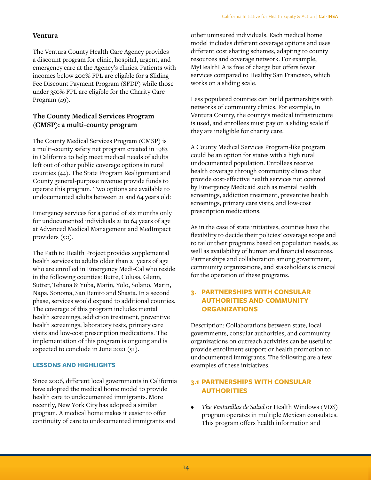## **Ventura**

The Ventura County Health Care Agency provides a discount program for clinic, hospital, urgent, and emergency care at the Agency's clinics. Patients with incomes below 200% FPL are eligible for a Sliding Fee Discount Payment Program (SFDP) while those under 350% FPL are eligible for the Charity Care Program (49).

## **The County Medical Services Program (CMSP): a multi-county program**

The County Medical Services Program (CMSP) is a multi-county safety net program created in 1983 in California to help meet medical needs of adults left out of other public coverage options in rural counties (44). The State Program Realignment and County general-purpose revenue provide funds to operate this program. Two options are available to undocumented adults between 21 and 64 years old:

Emergency services for a period of six months only for undocumented individuals 21 to 64 years of age at Advanced Medical Management and MedImpact providers (50).

The Path to Health Project provides supplemental health services to adults older than 21 years of age who are enrolled in Emergency Medi-Cal who reside in the following counties: Butte, Colusa, Glenn, Sutter, Tehana & Yuba, Marin, Yolo, Solano, Marin, Napa, Sonoma, San Benito and Shasta. In a second phase, services would expand to additional counties. The coverage of this program includes mental health screenings, addiction treatment, preventive health screenings, laboratory tests, primary care visits and low-cost prescription medications. The implementation of this program is ongoing and is expected to conclude in June 2021 (51).

#### **LESSONS AND HIGHLIGHTS**

Since 2006, different local governments in California have adopted the medical home model to provide health care to undocumented immigrants. More recently, New York City has adopted a similar program. A medical home makes it easier to offer continuity of care to undocumented immigrants and

other uninsured individuals. Each medical home model includes different coverage options and uses different cost sharing schemes, adapting to county resources and coverage network. For example, MyHealthLA is free of charge but offers fewer services compared to Healthy San Francisco, which works on a sliding scale.

Less populated counties can build partnerships with networks of community clinics. For example, in Ventura County, the county's medical infrastructure is used, and enrollees must pay on a sliding scale if they are ineligible for charity care.

A County Medical Services Program-like program could be an option for states with a high rural undocumented population. Enrollees receive health coverage through community clinics that provide cost-effective health services not covered by Emergency Medicaid such as mental health screenings, addiction treatment, preventive health screenings, primary care visits, and low-cost prescription medications.

As in the case of state initiatives, counties have the flexibility to decide their policies' coverage scope and to tailor their programs based on population needs, as well as availability of human and financial resources. Partnerships and collaboration among government, community organizations, and stakeholders is crucial for the operation of these programs.

## **3. PARTNERSHIPS WITH CONSULAR AUTHORITIES AND COMMUNITY ORGANIZATIONS**

Description: Collaborations between state, local governments, consular authorities, and community organizations on outreach activities can be useful to provide enrollment support or health promotion to undocumented immigrants. The following are a few examples of these initiatives.

## **3.1 PARTNERSHIPS WITH CONSULAR AUTHORITIES**

*• The Ventanillas de Salud* or Health Windows (VDS) program operates in multiple Mexican consulates. This program offers health information and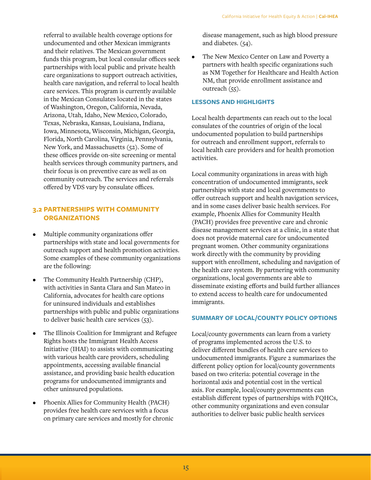referral to available health coverage options for undocumented and other Mexican immigrants and their relatives. The Mexican government funds this program, but local consular offices seek partnerships with local public and private health care organizations to support outreach activities, health care navigation, and referral to local health care services. This program is currently available in the Mexican Consulates located in the states of Washington, Oregon, California, Nevada, Arizona, Utah, Idaho, New Mexico, Colorado, Texas, Nebraska, Kansas, Louisiana, Indiana, Iowa, Minnesota, Wisconsin, Michigan, Georgia, Florida, North Carolina, Virginia, Pennsylvania, New York, and Massachusetts (52). Some of these offices provide on-site screening or mental health services through community partners, and their focus is on preventive care as well as on community outreach. The services and referrals offered by VDS vary by consulate offices.

## **3.2 PARTNERSHIPS WITH COMMUNITY ORGANIZATIONS**

- Multiple community organizations offer partnerships with state and local governments for outreach support and health promotion activities. Some examples of these community organizations are the following:
- The Community Health Partnership (CHP), with activities in Santa Clara and San Mateo in California, advocates for health care options for uninsured individuals and establishes partnerships with public and public organizations to deliver basic health care services (53).
- The Illinois Coalition for Immigrant and Refugee Rights hosts the Immigrant Health Access Initiative (IHAI) to assists with communicating with various health care providers, scheduling appointments, accessing available financial assistance, and providing basic health education programs for undocumented immigrants and other uninsured populations.
- Phoenix Allies for Community Health (PACH) provides free health care services with a focus on primary care services and mostly for chronic

disease management, such as high blood pressure and diabetes. (54).

• The New Mexico Center on Law and Poverty a partners with health specific organizations such as NM Together for Healthcare and Health Action NM, that provide enrollment assistance and outreach (55).

#### **LESSONS AND HIGHLIGHTS**

Local health departments can reach out to the local consulates of the countries of origin of the local undocumented population to build partnerships for outreach and enrollment support, referrals to local health care providers and for health promotion activities.

Local community organizations in areas with high concentration of undocumented immigrants, seek partnerships with state and local governments to offer outreach support and health navigation services, and in some cases deliver basic health services. For example, Phoenix Allies for Community Health (PACH) provides free preventive care and chronic disease management services at a clinic, in a state that does not provide maternal care for undocumented pregnant women. Other community organizations work directly with the community by providing support with enrollment, scheduling and navigation of the health care system. By partnering with community organizations, local governments are able to disseminate existing efforts and build further alliances to extend access to health care for undocumented immigrants.

#### **SUMMARY OF LOCAL/COUNTY POLICY OPTIONS**

Local/county governments can learn from a variety of programs implemented across the U.S. to deliver different bundles of health care services to undocumented immigrants. Figure 2 summarizes the different policy option for local/county governments based on two criteria: potential coverage in the horizontal axis and potential cost in the vertical axis. For example, local/county governments can establish different types of partnerships with FQHCs, other community organizations and even consular authorities to deliver basic public health services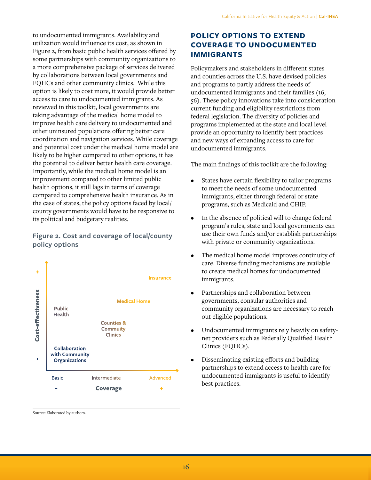to undocumented immigrants. Availability and utilization would influence its cost, as shown in Figure 2, from basic public health services offered by some partnerships with community organizations to a more comprehensive package of services delivered by collaborations between local governments and FQHCs and other community clinics. While this option is likely to cost more, it would provide better access to care to undocumented immigrants. As reviewed in this toolkit, local governments are taking advantage of the medical home model to improve health care delivery to undocumented and other uninsured populations offering better care coordination and navigation services. While coverage and potential cost under the medical home model are likely to be higher compared to other options, it has the potential to deliver better health care coverage. Importantly, while the medical home model is an improvement compared to other limited public health options, it still lags in terms of coverage compared to comprehensive health insurance. As in the case of states, the policy options faced by local/ county governments would have to be responsive to its political and budgetary realities.

## **Figure 2. Cost and coverage of local/county policy options**



Source: Elaborated by authors.

## **POLICY OPTIONS TO EXTEND COVERAGE TO UNDOCUMENTED IMMIGRANTS**

Policymakers and stakeholders in different states and counties across the U.S. have devised policies and programs to partly address the needs of undocumented immigrants and their families (16, 56). These policy innovations take into consideration current funding and eligibility restrictions from federal legislation. The diversity of policies and programs implemented at the state and local level provide an opportunity to identify best practices and new ways of expanding access to care for undocumented immigrants.

The main findings of this toolkit are the following:

- States have certain flexibility to tailor programs to meet the needs of some undocumented immigrants, either through federal or state programs, such as Medicaid and CHIP.
- In the absence of political will to change federal program's rules, state and local governments can use their own funds and/or establish partnerships with private or community organizations.
- The medical home model improves continuity of care. Diverse funding mechanisms are available to create medical homes for undocumented immigrants.
- Partnerships and collaboration between governments, consular authorities and community organizations are necessary to reach out eligible populations.
- Undocumented immigrants rely heavily on safetynet providers such as Federally Qualified Health Clinics (FQHCs).
- Disseminating existing efforts and building partnerships to extend access to health care for undocumented immigrants is useful to identify best practices.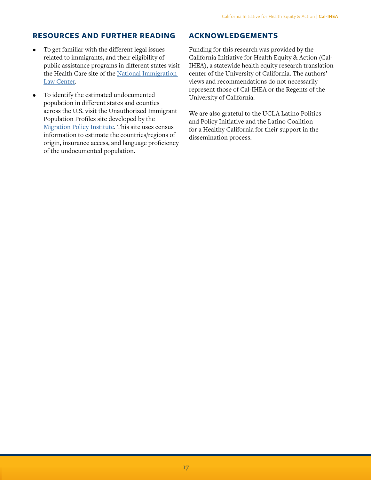## **RESOURCES AND FURTHER READING**

- To get familiar with the different legal issues related to immigrants, and their eligibility of public assistance programs in different states visit the [Health Care](https://www.nilc.org/issues/health-care/) site of the [National Immigration](https://www.nilc.org/)  [Law Center.](https://www.nilc.org/)
- To identify the estimated undocumented population in different states and counties across the U.S. visit the [Unauthorized Immigrant](https://www.migrationpolicy.org/programs/us-immigration-policy-program-data-hub/unauthorized-immigrant-population-profiles)  [Population Profiles](https://www.migrationpolicy.org/programs/us-immigration-policy-program-data-hub/unauthorized-immigrant-population-profiles) site developed by the [Migration Policy Institute](https://www.migrationpolicy.org/). This site uses census information to estimate the countries/regions of origin, insurance access, and language proficiency of the undocumented population.

## **ACKNOWLEDGEMENTS**

Funding for this research was provided by the California Initiative for Health Equity & Action (Cal-IHEA), a statewide health equity research translation center of the University of California. The authors' views and recommendations do not necessarily represent those of Cal-IHEA or the Regents of the University of California.

We are also grateful to the UCLA Latino Politics and Policy Initiative and the Latino Coalition for a Healthy California for their support in the dissemination process.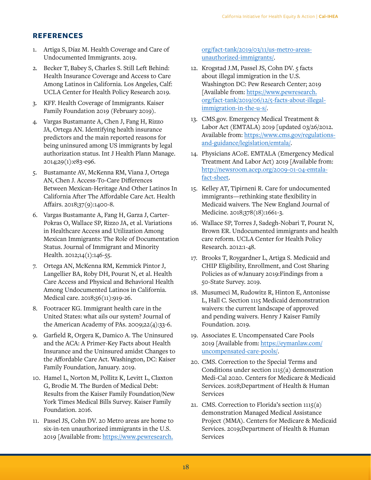## **REFERENCES**

- Artiga S, Díaz M. Health Coverage and Care of Undocumented Immigrants. 2019.
- 2. Becker T, Babey S, Charles S. Still Left Behind: Health Insurance Coverage and Access to Care Among Latinos in California. Los Angeles, Calf: UCLA Center for Health Policy Research 2019.
- 3. KFF. Health Coverage of Immigrants. Kaiser Family Foundation 2019 (February 2019).
- 4. Vargas Bustamante A, Chen J, Fang H, Rizzo JA, Ortega AN. Identifying health insurance predictors and the main reported reasons for being uninsured among US immigrants by legal authorization status. Int J Health Plann Manage. 2014;29(1):e83-e96.
- 5. Bustamante AV, McKenna RM, Viana J, Ortega AN, Chen J. Access-To-Care Differences Between Mexican-Heritage And Other Latinos In California After The Affordable Care Act. Health Affairs. 2018;37(9):1400-8.
- 6. Vargas Bustamante A, Fang H, Garza J, Carter-Pokras O, Wallace SP, Rizzo JA, et al. Variations in Healthcare Access and Utilization Among Mexican Immigrants: The Role of Documentation Status. Journal of Immigrant and Minority Health. 2012;14(1):146-55.
- 7. Ortega AN, McKenna RM, Kemmick Pintor J, Langellier BA, Roby DH, Pourat N, et al. Health Care Access and Physical and Behavioral Health Among Undocumented Latinos in California. Medical care. 2018;56(11):919-26.
- 8. Footracer KG. Immigrant health care in the United States: what ails our system? Journal of the American Academy of PAs. 2009;22(4):33-6.
- 9. Garfield R, Orgera K, Damico A. The Uninsured and the ACA: A Primer-Key Facts about Health Insurance and the Uninsured amidst Changes to the Affordable Care Act. Washington, DC: Kaiser Family Foundation, January. 2019.
- 10. Hamel L, Norton M, Pollitz K, Levitt L, Claxton G, Brodie M. The Burden of Medical Debt: Results from the Kaiser Family Foundation/New York Times Medical Bills Survey. Kaiser Family Foundation. 2016.
- 11. Passel JS, Cohn DV. 20 Metro areas are home to six-in-ten unauthorized immigrants in the U.S. 2019 [Available from: [https://www.pewresearch.](https://www.pewresearch.org/fact-tank/2019/03/11/us-metro-areas-unauthorized-immigrants/)

[org/fact-tank/2019/03/11/us-metro-areas](https://www.pewresearch.org/fact-tank/2019/03/11/us-metro-areas-unauthorized-immigrants/)[unauthorized-immigrants/.](https://www.pewresearch.org/fact-tank/2019/03/11/us-metro-areas-unauthorized-immigrants/)

- 12. Krogstad J.M, Passel JS, Cohn DV. 5 facts about illegal immigration in the U.S. Washington DC: Pew Research Center; 2019 [Available from: [https://www.pewresearch.](https://www.pewresearch.org/fact-tank/2019/06/12/5-facts-about-illegal-immigration-in-the-u-s/) [org/fact-tank/2019/06/12/5-facts-about-illegal](https://www.pewresearch.org/fact-tank/2019/06/12/5-facts-about-illegal-immigration-in-the-u-s/)[immigration-in-the-u-s/](https://www.pewresearch.org/fact-tank/2019/06/12/5-facts-about-illegal-immigration-in-the-u-s/).
- 13. CMS.gov. Emergency Medical Treatment & Labor Act (EMTALA) 2019 [updated 03/26/2012. Available from: [https://www.cms.gov/regulations](https://www.cms.gov/regulations-and-guidance/legislation/emtala/)[and-guidance/legislation/emtala/.](https://www.cms.gov/regulations-and-guidance/legislation/emtala/)
- 14. Physicians ACoE. EMTALA (Emergency Medical Treatment And Labor Act) 2019 [Available from: [http://newsroom.acep.org/2009-01-04-emtala](http://newsroom.acep.org/2009-01-04-emtala-fact-sheet)[fact-sheet](http://newsroom.acep.org/2009-01-04-emtala-fact-sheet).
- 15. Kelley AT, Tipirneni R. Care for undocumented immigrants—rethinking state flexibility in Medicaid waivers. The New England Journal of Medicine. 2018;378(18):1661-3.
- 16. Wallace SP, Torres J, Sadegh-Nobari T, Pourat N, Brown ER. Undocumented immigrants and health care reform. UCLA Center for Health Policy Research. 2012:1-48.
- 17. Brooks T, Roygardner L, Artiga S. Medicaid and CHIP Eligibility, Enrollment, and Cost Sharing Policies as of wJanuary 2019:Findings from a 50-State Survey. 2019.
- 18. Musumeci M, Rudowitz R, Hinton E, Antonisse L, Hall C. Section 1115 Medicaid demonstration waivers: the current landscape of approved and pending waivers. Henry J Kaiser Family Foundation. 2019.
- 19. Associates E. Uncompensated Care Pools 2019 [Available from: [https://eymanlaw.com/](https://eymanlaw.com/uncompensated-care-pools/) [uncompensated-care-pools/](https://eymanlaw.com/uncompensated-care-pools/).
- 20. CMS. Correction to the Special Terms and Conditions under section 1115(a) demonstration Medi-Cal 2020. Centers for Medicare & Medicaid Services. 2018;Department of Health & Human Services
- 21. CMS. Correction to Florida's section  $1115(a)$ demonstration Managed Medical Assistance Project (MMA). Centers for Medicare & Medicaid Services. 2019;Department of Health & Human Services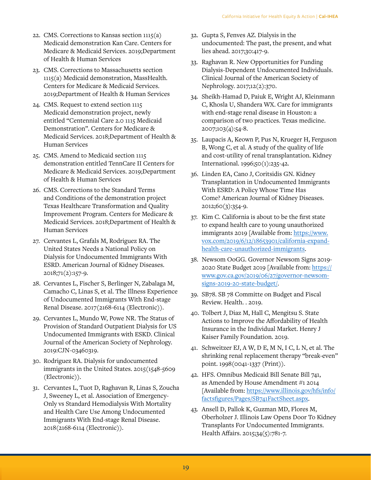- 22. CMS. Corrections to Kansas section 1115(a) Medicaid demonstration Kan Care. Centers for Medicare & Medicaid Services. 2019;Department of Health & Human Services
- 23. CMS. Corrections to Massachusetts section 1115(a) Medicaid demonstration, MassHealth. Centers for Medicare & Medicaid Services. 2019;Department of Health & Human Services
- 24. CMS. Request to extend section 1115 Medicaid demonstration project, newly entitled "Centennial Care 2.0 1115 Medicaid Demonstration". Centers for Medicare & Medicaid Services. 2018;Department of Health & Human Services
- 25. CMS. Amend to Medicaid section 1115 demonstration entitled TennCare II Centers for Medicare & Medicaid Services. 2019;Department of Health & Human Services
- 26. CMS. Corrections to the Standard Terms and Conditions of the demonstration project Texas Healthcare Transformation and Quality Improvement Program. Centers for Medicare & Medicaid Services. 2018;Department of Health & Human Services
- 27. Cervantes L, Grafals M, Rodriguez RA. The United States Needs a National Policy on Dialysis for Undocumented Immigrants With ESRD. American Journal of Kidney Diseases. 2018;71(2):157-9.
- 28. Cervantes L, Fischer S, Berlinger N, Zabalaga M, Camacho C, Linas S, et al. The Illness Experience of Undocumented Immigrants With End-stage Renal Disease. 2017(2168-6114 (Electronic)).
- 29. Cervantes L, Mundo W, Powe NR. The Status of Provision of Standard Outpatient Dialysis for US Undocumented Immigrants with ESKD. Clinical Journal of the American Society of Nephrology. 2019:CJN-03460319.
- 30. Rodriguez RA. Dialysis for undocumented immigrants in the United States. 2015(1548-5609 (Electronic)).
- 31. Cervantes L, Tuot D, Raghavan R, Linas S, Zoucha J, Sweeney L, et al. Association of Emergency-Only vs Standard Hemodialysis With Mortality and Health Care Use Among Undocumented Immigrants With End-stage Renal Disease. 2018(2168-6114 (Electronic)).
- 32. Gupta S, Fenves AZ. Dialysis in the undocumented: The past, the present, and what lies ahead. 2017;30:417-9.
- 33. Raghavan R. New Opportunities for Funding Dialysis-Dependent Undocumented Individuals. Clinical Journal of the American Society of Nephrology. 2017;12(2):370.
- 34. Sheikh-Hamad D, Paiuk E, Wright AJ, Kleinmann C, Khosla U, Shandera WX. Care for immigrants with end-stage renal disease in Houston: a comparison of two practices. Texas medicine. 2007;103(4):54-8.
- 35. Laupacis A, Keown P, Pus N, Krueger H, Ferguson B, Wong C, et al. A study of the quality of life and cost-utility of renal transplantation. Kidney International. 1996;50(1):235-42.
- 36. Linden EA, Cano J, Coritsidis GN. Kidney Transplantation in Undocumented Immigrants With ESRD: A Policy Whose Time Has Come? American Journal of Kidney Diseases. 2012;60(3):354-9.
- 37. Kim C. California is about to be the first state to expand health care to young unauthorized immigrants 2019 [Available from: [https://www.](https://www.vox.com/2019/6/12/18653901/california-expand-health-care-unauthorized-immigrants) [vox.com/2019/6/12/18653901/california-expand](https://www.vox.com/2019/6/12/18653901/california-expand-health-care-unauthorized-immigrants)[health-care-unauthorized-immigrants](https://www.vox.com/2019/6/12/18653901/california-expand-health-care-unauthorized-immigrants).
- 38. Newsom OoGG. Governor Newsom Signs 2019- 2020 State Budget 2019 [Available from: [https://](https://www.gov.ca.gov/2019/06/27/governor-newsom-signs-2019-20-state-budget/) [www.gov.ca.gov/2019/06/27/governor-newsom](https://www.gov.ca.gov/2019/06/27/governor-newsom-signs-2019-20-state-budget/)[signs-2019-20-state-budget/](https://www.gov.ca.gov/2019/06/27/governor-newsom-signs-2019-20-state-budget/).
- 39. SB78. SB 78 Committe on Budget and Fiscal Review. Health. . 2019.
- 40. Tolbert J, Diaz M, Hall C, Mengitsu S. State Actions to Improve the Affordability of Health Insurance in the Individual Market. Henry J Kaiser Family Foundation. 2019.
- 41. Schweitzer EJ, A W, D E, M N, I C, L N, et al. The shrinking renal replacement therapy "break-even" point. 1998(0041-1337 (Print)).
- 42. HFS. Omnibus Medicaid Bill Senate Bill 741, as Amended by House Amendment #1 2014 [Available from: [https://www.illinois.gov/hfs/info/](https://www.illinois.gov/hfs/info/factsfigures/Pages/SB741FactSheet.aspx) [factsfigures/Pages/SB741FactSheet.aspx.](https://www.illinois.gov/hfs/info/factsfigures/Pages/SB741FactSheet.aspx)
- 43. Ansell D, Pallok K, Guzman MD, Flores M, Oberholzer J. Illinois Law Opens Door To Kidney Transplants For Undocumented Immigrants. Health Affairs. 2015;34(5):781-7.